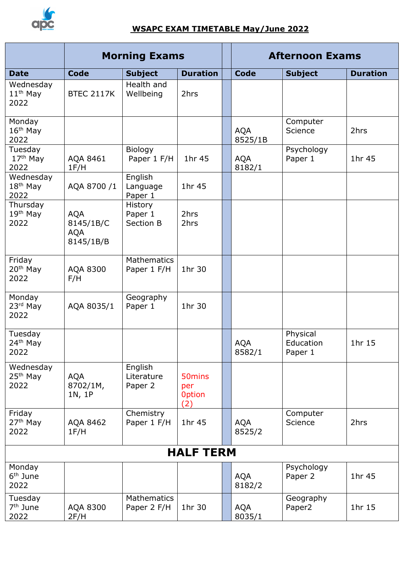

## **WSAPC EXAM TIMETABLE May/June 2022**

|                                           | <b>Morning Exams</b>                               |                                   |                                                   |  | <b>Afternoon Exams</b> |                                  |                 |  |  |
|-------------------------------------------|----------------------------------------------------|-----------------------------------|---------------------------------------------------|--|------------------------|----------------------------------|-----------------|--|--|
| <b>Date</b>                               | <b>Code</b>                                        | <b>Subject</b>                    | <b>Duration</b>                                   |  | <b>Code</b>            | <b>Subject</b>                   | <b>Duration</b> |  |  |
| Wednesday<br>$11th$ May<br>2022           | <b>BTEC 2117K</b>                                  | Health and<br>Wellbeing           | 2hrs                                              |  |                        |                                  |                 |  |  |
| Monday<br>$16th$ May<br>2022              |                                                    |                                   |                                                   |  | <b>AQA</b><br>8525/1B  | Computer<br>Science              | 2hrs            |  |  |
| Tuesday<br>17 <sup>th</sup> May<br>2022   | AQA 8461<br>1F/H                                   | Biology<br>Paper 1 F/H            | 1hr 45                                            |  | <b>AQA</b><br>8182/1   | Psychology<br>Paper 1            | 1hr 45          |  |  |
| Wednesday<br>18 <sup>th</sup> May<br>2022 | AQA 8700 /1                                        | English<br>Language<br>Paper 1    | 1hr 45                                            |  |                        |                                  |                 |  |  |
| Thursday<br>19 <sup>th</sup> May<br>2022  | <b>AQA</b><br>8145/1B/C<br><b>AQA</b><br>8145/1B/B | History<br>Paper 1<br>Section B   | 2hrs<br>2hrs                                      |  |                        |                                  |                 |  |  |
| Friday<br>20 <sup>th</sup> May<br>2022    | AQA 8300<br>F/H                                    | <b>Mathematics</b><br>Paper 1 F/H | 1hr 30                                            |  |                        |                                  |                 |  |  |
| Monday<br>23rd May<br>2022                | AQA 8035/1                                         | Geography<br>Paper 1              | 1hr 30                                            |  |                        |                                  |                 |  |  |
| Tuesday<br>24 <sup>th</sup> May<br>2022   |                                                    |                                   |                                                   |  | <b>AQA</b><br>8582/1   | Physical<br>Education<br>Paper 1 | 1hr 15          |  |  |
| Wednesday<br>25 <sup>th</sup> May<br>2022 | <b>AQA</b><br>8702/1M,<br>1N, 1P                   | English<br>Literature<br>Paper 2  | 50 <sub>mins</sub><br>per<br><b>Option</b><br>(2) |  |                        |                                  |                 |  |  |
| Friday<br>27 <sup>th</sup> May<br>2022    | AQA 8462<br>1F/H                                   | Chemistry<br>Paper 1 F/H          | 1hr 45                                            |  | <b>AQA</b><br>8525/2   | Computer<br>Science              | 2hrs            |  |  |
| <b>HALF TERM</b>                          |                                                    |                                   |                                                   |  |                        |                                  |                 |  |  |
| Monday<br>6 <sup>th</sup> June<br>2022    |                                                    |                                   |                                                   |  | <b>AQA</b><br>8182/2   | Psychology<br>Paper 2            | 1hr 45          |  |  |
| Tuesday<br>7 <sup>th</sup> June<br>2022   | AQA 8300<br>2F/H                                   | Mathematics<br>Paper 2 F/H        | 1hr 30                                            |  | AQA<br>8035/1          | Geography<br>Paper <sub>2</sub>  | 1hr 15          |  |  |